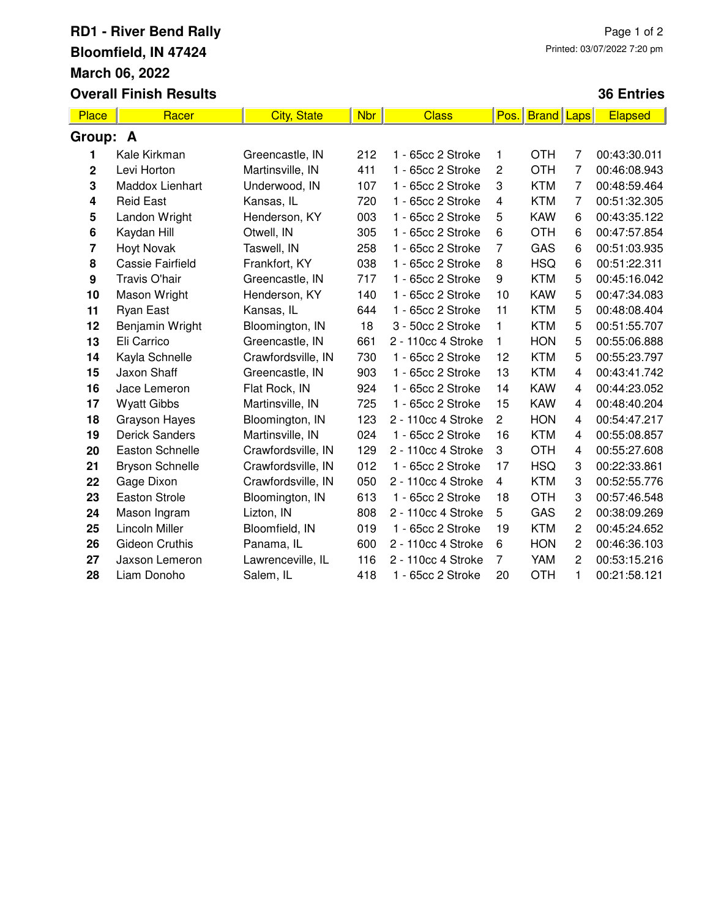## **RD1 - River Bend Rally Bloomfield, IN 47424 March 06, 2022 Overall Finish Results**

## **36 Entries**

| <b>Place</b>     | Racer                   | <b>City, State</b> | <b>Nbr</b> | <b>Class</b>       | Pos.                    | <b>Brand</b> | Laps           | <b>Elapsed</b> |
|------------------|-------------------------|--------------------|------------|--------------------|-------------------------|--------------|----------------|----------------|
| Group: A         |                         |                    |            |                    |                         |              |                |                |
| 1                | Kale Kirkman            | Greencastle, IN    | 212        | 1 - 65cc 2 Stroke  | 1                       | <b>OTH</b>   | 7              | 00:43:30.011   |
| $\mathbf 2$      | Levi Horton             | Martinsville, IN   | 411        | 1 - 65cc 2 Stroke  | $\overline{c}$          | <b>OTH</b>   | 7              | 00:46:08.943   |
| 3                | Maddox Lienhart         | Underwood, IN      | 107        | 1 - 65cc 2 Stroke  | 3                       | <b>KTM</b>   | 7              | 00:48:59.464   |
| 4                | <b>Reid East</b>        | Kansas, IL         | 720        | 1 - 65cc 2 Stroke  | $\overline{\mathbf{4}}$ | <b>KTM</b>   | $\overline{7}$ | 00:51:32.305   |
| 5                | Landon Wright           | Henderson, KY      | 003        | 1 - 65cc 2 Stroke  | 5                       | <b>KAW</b>   | 6              | 00:43:35.122   |
| 6                | Kaydan Hill             | Otwell, IN         | 305        | 1 - 65cc 2 Stroke  | 6                       | <b>OTH</b>   | 6              | 00:47:57.854   |
| 7                | <b>Hoyt Novak</b>       | Taswell, IN        | 258        | 1 - 65cc 2 Stroke  | $\overline{7}$          | GAS          | 6              | 00:51:03.935   |
| 8                | <b>Cassie Fairfield</b> | Frankfort, KY      | 038        | 1 - 65cc 2 Stroke  | 8                       | <b>HSQ</b>   | 6              | 00:51:22.311   |
| $\boldsymbol{9}$ | Travis O'hair           | Greencastle, IN    | 717        | 1 - 65cc 2 Stroke  | 9                       | <b>KTM</b>   | 5              | 00:45:16.042   |
| 10               | Mason Wright            | Henderson, KY      | 140        | 1 - 65cc 2 Stroke  | 10                      | <b>KAW</b>   | 5              | 00:47:34.083   |
| 11               | Ryan East               | Kansas, IL         | 644        | 1 - 65cc 2 Stroke  | 11                      | <b>KTM</b>   | 5              | 00:48:08.404   |
| 12               | Benjamin Wright         | Bloomington, IN    | 18         | 3 - 50cc 2 Stroke  | 1                       | <b>KTM</b>   | 5              | 00:51:55.707   |
| 13               | Eli Carrico             | Greencastle, IN    | 661        | 2 - 110cc 4 Stroke | 1                       | <b>HON</b>   | 5              | 00:55:06.888   |
| 14               | Kayla Schnelle          | Crawfordsville, IN | 730        | 1 - 65cc 2 Stroke  | 12                      | <b>KTM</b>   | 5              | 00:55:23.797   |
| 15               | Jaxon Shaff             | Greencastle, IN    | 903        | 1 - 65cc 2 Stroke  | 13                      | <b>KTM</b>   | 4              | 00:43:41.742   |
| 16               | Jace Lemeron            | Flat Rock, IN      | 924        | 1 - 65cc 2 Stroke  | 14                      | <b>KAW</b>   | $\overline{4}$ | 00:44:23.052   |
| 17               | <b>Wyatt Gibbs</b>      | Martinsville, IN   | 725        | 1 - 65cc 2 Stroke  | 15                      | <b>KAW</b>   | $\overline{4}$ | 00:48:40.204   |
| 18               | <b>Grayson Hayes</b>    | Bloomington, IN    | 123        | 2 - 110cc 4 Stroke | $\overline{c}$          | <b>HON</b>   | 4              | 00:54:47.217   |
| 19               | <b>Derick Sanders</b>   | Martinsville, IN   | 024        | 1 - 65cc 2 Stroke  | 16                      | <b>KTM</b>   | 4              | 00:55:08.857   |
| 20               | Easton Schnelle         | Crawfordsville, IN | 129        | 2 - 110cc 4 Stroke | 3                       | <b>OTH</b>   | 4              | 00:55:27.608   |
| 21               | <b>Bryson Schnelle</b>  | Crawfordsville, IN | 012        | 1 - 65cc 2 Stroke  | 17                      | <b>HSQ</b>   | 3              | 00:22:33.861   |
| 22               | Gage Dixon              | Crawfordsville, IN | 050        | 2 - 110cc 4 Stroke | $\overline{4}$          | <b>KTM</b>   | 3              | 00:52:55.776   |
| 23               | <b>Easton Strole</b>    | Bloomington, IN    | 613        | 1 - 65cc 2 Stroke  | 18                      | <b>OTH</b>   | 3              | 00:57:46.548   |
| 24               | Mason Ingram            | Lizton, IN         | 808        | 2 - 110cc 4 Stroke | 5                       | GAS          | $\overline{c}$ | 00:38:09.269   |
| 25               | Lincoln Miller          | Bloomfield, IN     | 019        | 1 - 65cc 2 Stroke  | 19                      | <b>KTM</b>   | 2              | 00:45:24.652   |
| 26               | Gideon Cruthis          | Panama, IL         | 600        | 2 - 110cc 4 Stroke | 6                       | <b>HON</b>   | $\overline{c}$ | 00:46:36.103   |
| 27               | Jaxson Lemeron          | Lawrenceville, IL  | 116        | 2 - 110cc 4 Stroke | 7                       | YAM          | 2              | 00:53:15.216   |
| 28               | Liam Donoho             | Salem, IL          | 418        | 1 - 65cc 2 Stroke  | 20                      | <b>OTH</b>   | 1              | 00:21:58.121   |